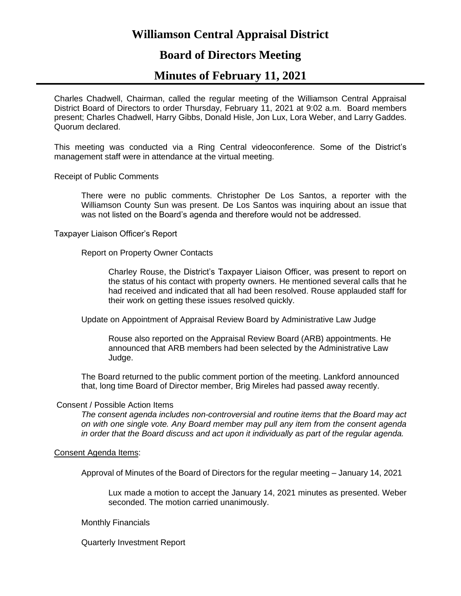# **Williamson Central Appraisal District**

## **Board of Directors Meeting**

## **Minutes of February 11, 2021**

Charles Chadwell, Chairman, called the regular meeting of the Williamson Central Appraisal District Board of Directors to order Thursday, February 11, 2021 at 9:02 a.m. Board members present; Charles Chadwell, Harry Gibbs, Donald Hisle, Jon Lux, Lora Weber, and Larry Gaddes. Quorum declared.

This meeting was conducted via a Ring Central videoconference. Some of the District's management staff were in attendance at the virtual meeting.

Receipt of Public Comments

There were no public comments. Christopher De Los Santos, a reporter with the Williamson County Sun was present. De Los Santos was inquiring about an issue that was not listed on the Board's agenda and therefore would not be addressed.

Taxpayer Liaison Officer's Report

Report on Property Owner Contacts

Charley Rouse, the District's Taxpayer Liaison Officer, was present to report on the status of his contact with property owners. He mentioned several calls that he had received and indicated that all had been resolved. Rouse applauded staff for their work on getting these issues resolved quickly.

Update on Appointment of Appraisal Review Board by Administrative Law Judge

Rouse also reported on the Appraisal Review Board (ARB) appointments. He announced that ARB members had been selected by the Administrative Law Judge.

The Board returned to the public comment portion of the meeting. Lankford announced that, long time Board of Director member, Brig Mireles had passed away recently.

#### Consent / Possible Action Items

*The consent agenda includes non-controversial and routine items that the Board may act on with one single vote. Any Board member may pull any item from the consent agenda in order that the Board discuss and act upon it individually as part of the regular agenda.*

## Consent Agenda Items:

Approval of Minutes of the Board of Directors for the regular meeting – January 14, 2021

Lux made a motion to accept the January 14, 2021 minutes as presented. Weber seconded. The motion carried unanimously.

Monthly Financials

Quarterly Investment Report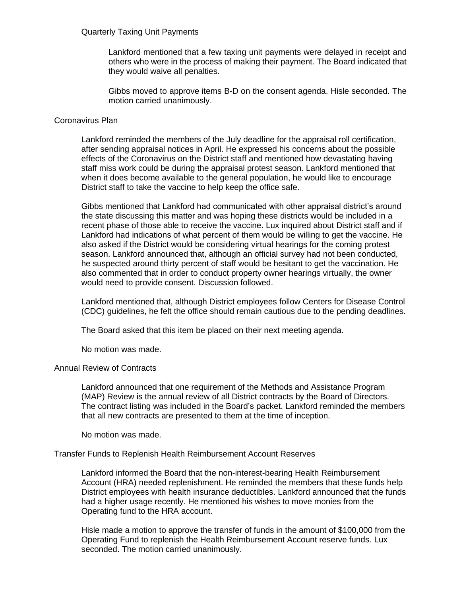## Quarterly Taxing Unit Payments

Lankford mentioned that a few taxing unit payments were delayed in receipt and others who were in the process of making their payment. The Board indicated that they would waive all penalties.

Gibbs moved to approve items B-D on the consent agenda. Hisle seconded. The motion carried unanimously.

## Coronavirus Plan

Lankford reminded the members of the July deadline for the appraisal roll certification, after sending appraisal notices in April. He expressed his concerns about the possible effects of the Coronavirus on the District staff and mentioned how devastating having staff miss work could be during the appraisal protest season. Lankford mentioned that when it does become available to the general population, he would like to encourage District staff to take the vaccine to help keep the office safe.

Gibbs mentioned that Lankford had communicated with other appraisal district's around the state discussing this matter and was hoping these districts would be included in a recent phase of those able to receive the vaccine. Lux inquired about District staff and if Lankford had indications of what percent of them would be willing to get the vaccine. He also asked if the District would be considering virtual hearings for the coming protest season. Lankford announced that, although an official survey had not been conducted, he suspected around thirty percent of staff would be hesitant to get the vaccination. He also commented that in order to conduct property owner hearings virtually, the owner would need to provide consent. Discussion followed.

Lankford mentioned that, although District employees follow Centers for Disease Control (CDC) guidelines, he felt the office should remain cautious due to the pending deadlines.

The Board asked that this item be placed on their next meeting agenda.

No motion was made.

## Annual Review of Contracts

Lankford announced that one requirement of the Methods and Assistance Program (MAP) Review is the annual review of all District contracts by the Board of Directors. The contract listing was included in the Board's packet. Lankford reminded the members that all new contracts are presented to them at the time of inception.

No motion was made.

## Transfer Funds to Replenish Health Reimbursement Account Reserves

Lankford informed the Board that the non-interest-bearing Health Reimbursement Account (HRA) needed replenishment. He reminded the members that these funds help District employees with health insurance deductibles. Lankford announced that the funds had a higher usage recently. He mentioned his wishes to move monies from the Operating fund to the HRA account.

Hisle made a motion to approve the transfer of funds in the amount of \$100,000 from the Operating Fund to replenish the Health Reimbursement Account reserve funds. Lux seconded. The motion carried unanimously.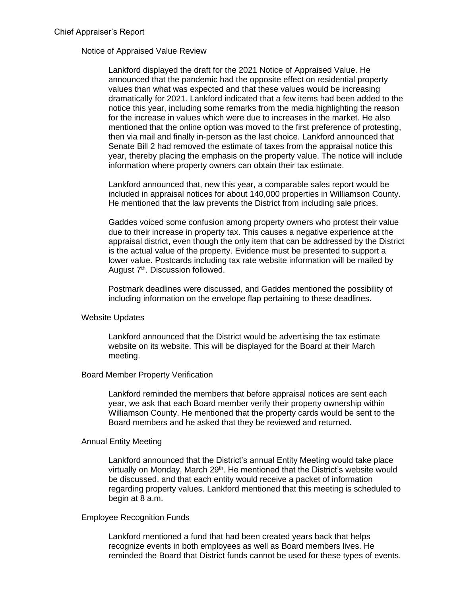## Notice of Appraised Value Review

Lankford displayed the draft for the 2021 Notice of Appraised Value. He announced that the pandemic had the opposite effect on residential property values than what was expected and that these values would be increasing dramatically for 2021. Lankford indicated that a few items had been added to the notice this year, including some remarks from the media highlighting the reason for the increase in values which were due to increases in the market. He also mentioned that the online option was moved to the first preference of protesting, then via mail and finally in-person as the last choice. Lankford announced that Senate Bill 2 had removed the estimate of taxes from the appraisal notice this year, thereby placing the emphasis on the property value. The notice will include information where property owners can obtain their tax estimate.

Lankford announced that, new this year, a comparable sales report would be included in appraisal notices for about 140,000 properties in Williamson County. He mentioned that the law prevents the District from including sale prices.

Gaddes voiced some confusion among property owners who protest their value due to their increase in property tax. This causes a negative experience at the appraisal district, even though the only item that can be addressed by the District is the actual value of the property. Evidence must be presented to support a lower value. Postcards including tax rate website information will be mailed by August 7<sup>th</sup>. Discussion followed.

Postmark deadlines were discussed, and Gaddes mentioned the possibility of including information on the envelope flap pertaining to these deadlines.

#### Website Updates

Lankford announced that the District would be advertising the tax estimate website on its website. This will be displayed for the Board at their March meeting.

## Board Member Property Verification

Lankford reminded the members that before appraisal notices are sent each year, we ask that each Board member verify their property ownership within Williamson County. He mentioned that the property cards would be sent to the Board members and he asked that they be reviewed and returned.

#### Annual Entity Meeting

Lankford announced that the District's annual Entity Meeting would take place virtually on Monday, March 29<sup>th</sup>. He mentioned that the District's website would be discussed, and that each entity would receive a packet of information regarding property values. Lankford mentioned that this meeting is scheduled to begin at 8 a.m.

## Employee Recognition Funds

Lankford mentioned a fund that had been created years back that helps recognize events in both employees as well as Board members lives. He reminded the Board that District funds cannot be used for these types of events.